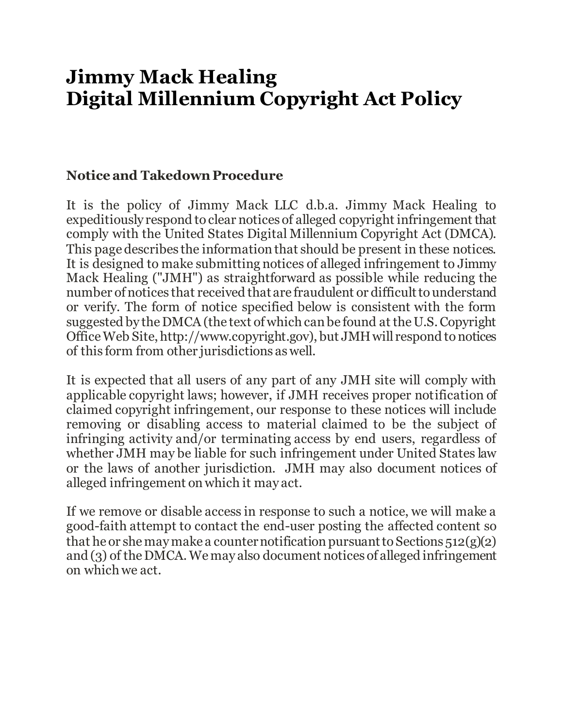# **Jimmy Mack Healing Digital Millennium Copyright Act Policy**

#### **Notice and Takedown Procedure**

It is the policy of Jimmy Mack LLC d.b.a. Jimmy Mack Healing to expeditiously respond to clear notices of alleged copyright infringement that comply with the United States Digital Millennium Copyright Act (DMCA). This page describes the information that should be present in these notices. It is designed to make submitting notices of alleged infringement to Jimmy Mack Healing ("JMH") as straightforward as possible while reducing the number of notices that received that are fraudulent or difficult to understand or verify. The form of notice specified below is consistent with the form suggested by the DMCA (the text of which can be found at the U.S. Copyright Office Web Site, http://www.copyright.gov), but JMH will respond to notices of this form from other jurisdictions as well.

It is expected that all users of any part of any JMH site will comply with applicable copyright laws; however, if JMH receives proper notification of claimed copyright infringement, our response to these notices will include removing or disabling access to material claimed to be the subject of infringing activity and/or terminating access by end users, regardless of whether JMH may be liable for such infringement under United States law or the laws of another jurisdiction. JMH may also document notices of alleged infringement on which it may act.

If we remove or disable access in response to such a notice, we will make a good-faith attempt to contact the end-user posting the affected content so that he or she may make a counter notification pursuant to Sections 512(g)(2) and (3) of the DMCA. We may also document notices of alleged infringement on which we act.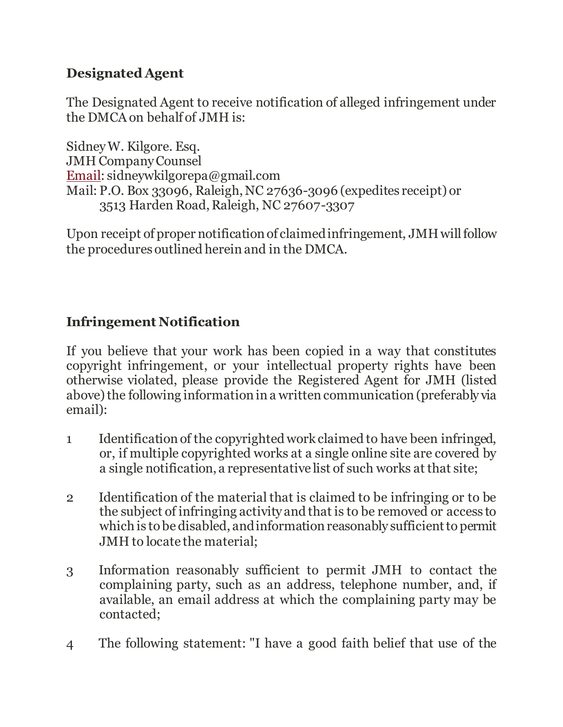## **Designated Agent**

The Designated Agent to receive notification of alleged infringement under the DMCA on behalf of JMH is:

Sidney W. Kilgore. Esq. JMH Company Counsel [Email:](mailto:copyright@citmedialaw.org) sidneywkilgorepa@gmail.com Mail: P.O. Box 33096, Raleigh, NC 27636-3096 (expedites receipt) or 3513 Harden Road, Raleigh, NC 27607-3307

Upon receipt of proper notification of claimed infringement, JMH will follow the procedures outlined herein and in the DMCA.

# **Infringement Notification**

If you believe that your work has been copied in a way that constitutes copyright infringement, or your intellectual property rights have been otherwise violated, please provide the Registered Agent for JMH (listed above) the following information in a written communication (preferably via email):

- 1 Identification of the copyrighted work claimed to have been infringed, or, if multiple copyrighted works at a single online site are covered by a single notification, a representative list of such works at that site;
- 2 Identification of the material that is claimed to be infringing or to be the subject of infringing activity and that is to be removed or access to which is to be disabled, and information reasonably sufficient to permit JMH to locate the material;
- 3 Information reasonably sufficient to permit JMH to contact the complaining party, such as an address, telephone number, and, if available, an email address at which the complaining party may be contacted;
- 4 The following statement: "I have a good faith belief that use of the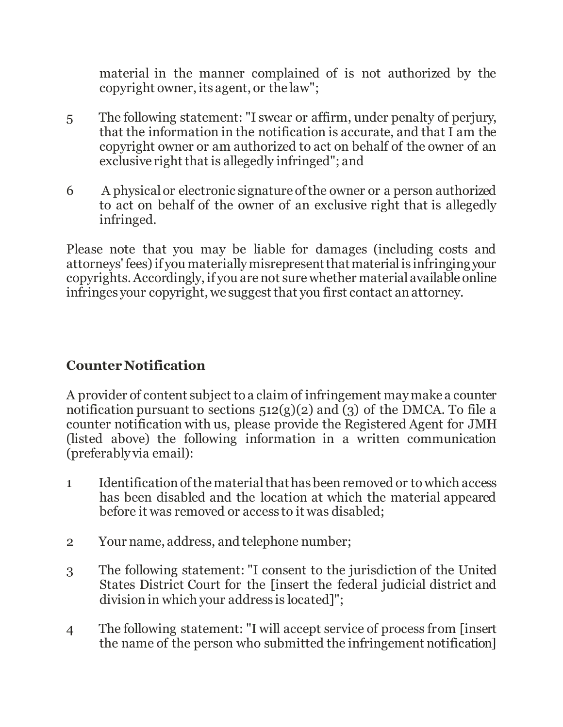material in the manner complained of is not authorized by the copyright owner, its agent, or the law";

- 5 The following statement: "I swear or affirm, under penalty of perjury, that the information in the notification is accurate, and that I am the copyright owner or am authorized to act on behalf of the owner of an exclusive right that is allegedly infringed"; and
- 6 A physical or electronic signature of the owner or a person authorized to act on behalf of the owner of an exclusive right that is allegedly infringed.

Please note that you may be liable for damages (including costs and attorneys' fees) if you materially misrepresent that material is infringing your copyrights. Accordingly, if you are not sure whether material available online infringes your copyright, we suggest that you first contact an attorney.

#### **Counter Notification**

A provider of content subject to a claim of infringement may make a counter notification pursuant to sections  $512(g)(2)$  and (3) of the DMCA. To file a counter notification with us, please provide the Registered Agent for JMH (listed above) the following information in a written communication (preferably via email):

- 1 Identification of the material that has been removed or to which access has been disabled and the location at which the material appeared before it was removed or access to it was disabled;
- 2 Your name, address, and telephone number;
- 3 The following statement: "I consent to the jurisdiction of the United States District Court for the [insert the federal judicial district and division in which your address is located]";
- 4 The following statement: "I will accept service of process from [insert the name of the person who submitted the infringement notification]